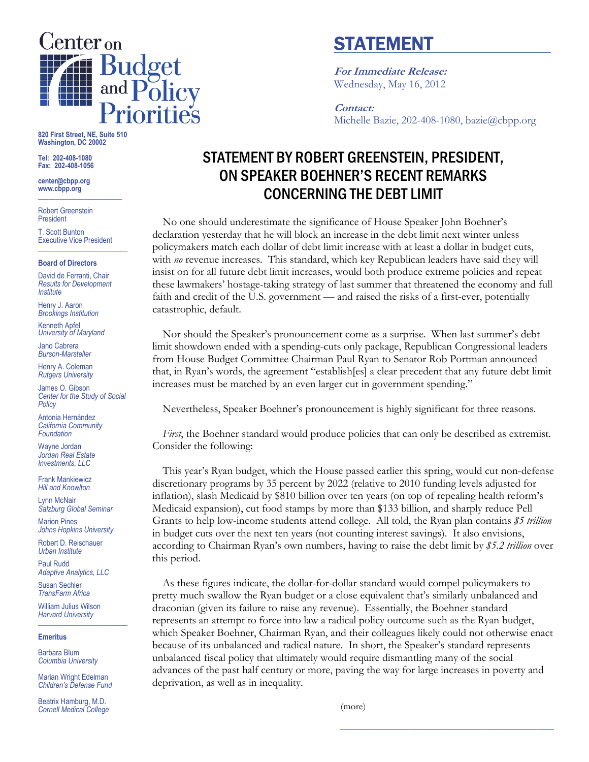

## STATEMENT

**For Immediate Release:**  Wednesday, May 16, 2012

**Contact:**  Michelle Bazie, 202-408-1080, bazie@cbpp.org

## STATEMENT BY ROBERT GREENSTEIN, PRESIDENT, ON SPEAKER BOEHNER'S RECENT REMARKS CONCERNING THE DEBT LIMIT

No one should underestimate the significance of House Speaker John Boehner's declaration yesterday that he will block an increase in the debt limit next winter unless policymakers match each dollar of debt limit increase with at least a dollar in budget cuts, with *no* revenue increases. This standard, which key Republican leaders have said they will insist on for all future debt limit increases, would both produce extreme policies and repeat these lawmakers' hostage-taking strategy of last summer that threatened the economy and full faith and credit of the U.S. government — and raised the risks of a first-ever, potentially catastrophic, default.

Nor should the Speaker's pronouncement come as a surprise. When last summer's debt limit showdown ended with a spending-cuts only package, Republican Congressional leaders from House Budget Committee Chairman Paul Ryan to Senator Rob Portman announced that, in Ryan's words, the agreement "establish[es] a clear precedent that any future debt limit increases must be matched by an even larger cut in government spending."

Nevertheless, Speaker Boehner's pronouncement is highly significant for three reasons.

*First*, the Boehner standard would produce policies that can only be described as extremist. Consider the following:

This year's Ryan budget, which the House passed earlier this spring, would cut non-defense discretionary programs by 35 percent by 2022 (relative to 2010 funding levels adjusted for inflation), slash Medicaid by \$810 billion over ten years (on top of repealing health reform's Medicaid expansion), cut food stamps by more than \$133 billion, and sharply reduce Pell Grants to help low-income students attend college. All told, the Ryan plan contains *\$5 trillion* in budget cuts over the next ten years (not counting interest savings). It also envisions, according to Chairman Ryan's own numbers, having to raise the debt limit by *\$5.2 trillion* over this period.

As these figures indicate, the dollar-for-dollar standard would compel policymakers to pretty much swallow the Ryan budget or a close equivalent that's similarly unbalanced and draconian (given its failure to raise any revenue). Essentially, the Boehner standard represents an attempt to force into law a radical policy outcome such as the Ryan budget, which Speaker Boehner, Chairman Ryan, and their colleagues likely could not otherwise enact because of its unbalanced and radical nature. In short, the Speaker's standard represents unbalanced fiscal policy that ultimately would require dismantling many of the social advances of the past half century or more, paving the way for large increases in poverty and deprivation, as well as in inequality.

(more)

**\_\_\_\_\_\_\_\_\_\_\_\_\_\_\_\_\_\_\_\_\_\_\_\_\_\_\_\_\_\_\_\_\_\_\_\_\_** 

**820 First Street, NE, Suite 510 Washington, DC 20002** 

**Tel: 202-408-1080 Fax: 202-408-1056** 

**center@cbpp.org www.cbpp.org \_\_\_\_\_\_\_\_\_\_\_\_\_\_\_\_\_\_\_\_\_\_\_\_** 

Robert Greenstein President

T. Scott Bunton Executive Vice President **\_\_\_\_\_\_\_\_\_\_\_\_\_\_\_\_\_\_\_\_\_\_\_\_** 

## **Board of Directors**

David de Ferranti, Chair *Results for Development Institute* 

Henry J. Aaron *Brookings Institution* 

Kenneth Apfel *University of Maryland* 

Jano Cabrera *Burson-Marsteller* 

Henry A. Coleman *Rutgers University* 

James O. Gibson *Center for the Study of Social Policy* 

Antonia Hernández *California Community Foundation* 

Wayne Jordan *Jordan Real Estate Investments, LLC* 

Frank Mankiewicz *Hill and Knowlton* 

Lynn McNair *Salzburg Global Seminar* 

Marion Pines *Johns Hopkins University* 

Robert D. Reischauer *Urban Institute* 

Paul Rudd *Adaptive Analytics, LLC* 

Susan Sechler *TransFarm Africa* 

William Julius Wilson *Harvard University*  **\_\_\_\_\_\_\_\_\_\_\_\_\_\_\_\_\_\_\_\_\_\_\_\_** 

## **Emeritus**

Barbara Blum *Columbia University* 

Marian Wright Edelman *Children's Defense Fund* 

Beatrix Hamburg, M.D. *Cornell Medical College*